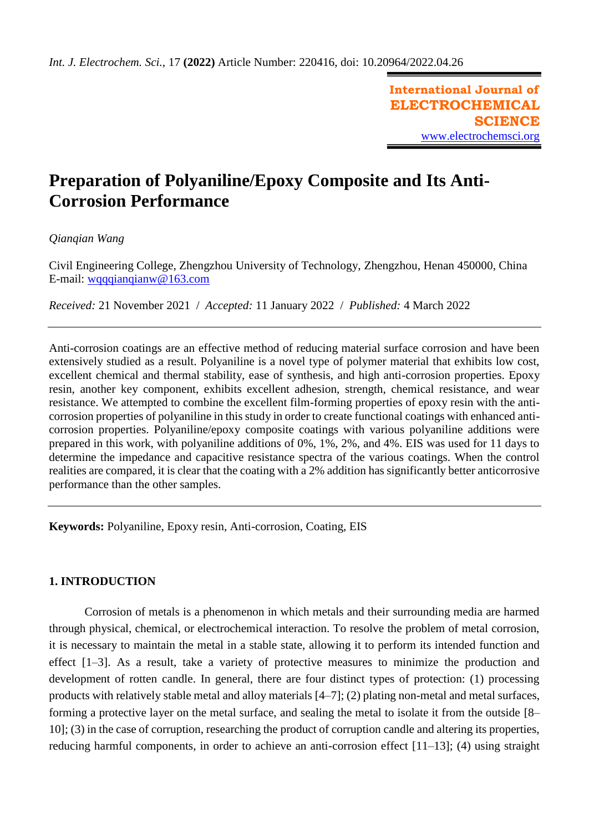**International Journal of ELECTROCHEMICAL SCIENCE** [www.electrochemsci.org](http://www.electrochemsci.org/)

# **Preparation of Polyaniline/Epoxy Composite and Its Anti-Corrosion Performance**

# *Qianqian Wang*

Civil Engineering College, Zhengzhou University of Technology, Zhengzhou, Henan 450000, China E-mail: [wqqqianqianw@163.com](mailto:wqqqianqianw@163.com)

*Received:* 21 November 2021/ *Accepted:* 11 January 2022 / *Published:* 4 March 2022

Anti-corrosion coatings are an effective method of reducing material surface corrosion and have been extensively studied as a result. Polyaniline is a novel type of polymer material that exhibits low cost, excellent chemical and thermal stability, ease of synthesis, and high anti-corrosion properties. Epoxy resin, another key component, exhibits excellent adhesion, strength, chemical resistance, and wear resistance. We attempted to combine the excellent film-forming properties of epoxy resin with the anticorrosion properties of polyaniline in this study in order to create functional coatings with enhanced anticorrosion properties. Polyaniline/epoxy composite coatings with various polyaniline additions were prepared in this work, with polyaniline additions of 0%, 1%, 2%, and 4%. EIS was used for 11 days to determine the impedance and capacitive resistance spectra of the various coatings. When the control realities are compared, it is clear that the coating with a 2% addition has significantly better anticorrosive performance than the other samples.

**Keywords:** Polyaniline, Epoxy resin, Anti-corrosion, Coating, EIS

# **1. INTRODUCTION**

Corrosion of metals is a phenomenon in which metals and their surrounding media are harmed through physical, chemical, or electrochemical interaction. To resolve the problem of metal corrosion, it is necessary to maintain the metal in a stable state, allowing it to perform its intended function and effect [1–3]. As a result, take a variety of protective measures to minimize the production and development of rotten candle. In general, there are four distinct types of protection: (1) processing products with relatively stable metal and alloy materials [4–7]; (2) plating non-metal and metal surfaces, forming a protective layer on the metal surface, and sealing the metal to isolate it from the outside [8– 10]; (3) in the case of corruption, researching the product of corruption candle and altering its properties, reducing harmful components, in order to achieve an anti-corrosion effect [11–13]; (4) using straight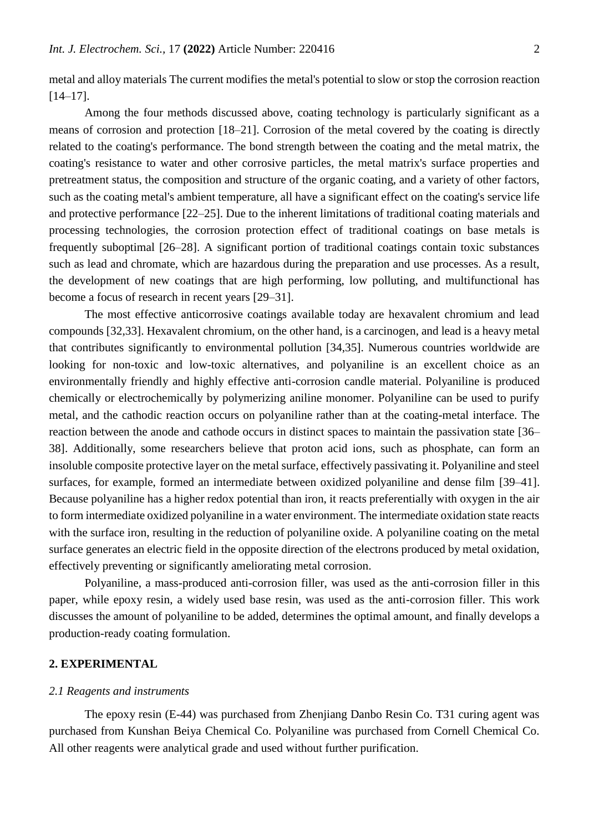metal and alloy materials The current modifies the metal's potential to slow or stop the corrosion reaction [14–17].

Among the four methods discussed above, coating technology is particularly significant as a means of corrosion and protection [18–21]. Corrosion of the metal covered by the coating is directly related to the coating's performance. The bond strength between the coating and the metal matrix, the coating's resistance to water and other corrosive particles, the metal matrix's surface properties and pretreatment status, the composition and structure of the organic coating, and a variety of other factors, such as the coating metal's ambient temperature, all have a significant effect on the coating's service life and protective performance [22–25]. Due to the inherent limitations of traditional coating materials and processing technologies, the corrosion protection effect of traditional coatings on base metals is frequently suboptimal [26–28]. A significant portion of traditional coatings contain toxic substances such as lead and chromate, which are hazardous during the preparation and use processes. As a result, the development of new coatings that are high performing, low polluting, and multifunctional has become a focus of research in recent years [29–31].

The most effective anticorrosive coatings available today are hexavalent chromium and lead compounds [32,33]. Hexavalent chromium, on the other hand, is a carcinogen, and lead is a heavy metal that contributes significantly to environmental pollution [34,35]. Numerous countries worldwide are looking for non-toxic and low-toxic alternatives, and polyaniline is an excellent choice as an environmentally friendly and highly effective anti-corrosion candle material. Polyaniline is produced chemically or electrochemically by polymerizing aniline monomer. Polyaniline can be used to purify metal, and the cathodic reaction occurs on polyaniline rather than at the coating-metal interface. The reaction between the anode and cathode occurs in distinct spaces to maintain the passivation state [36– 38]. Additionally, some researchers believe that proton acid ions, such as phosphate, can form an insoluble composite protective layer on the metal surface, effectively passivating it. Polyaniline and steel surfaces, for example, formed an intermediate between oxidized polyaniline and dense film [39–41]. Because polyaniline has a higher redox potential than iron, it reacts preferentially with oxygen in the air to form intermediate oxidized polyaniline in a water environment. The intermediate oxidation state reacts with the surface iron, resulting in the reduction of polyaniline oxide. A polyaniline coating on the metal surface generates an electric field in the opposite direction of the electrons produced by metal oxidation, effectively preventing or significantly ameliorating metal corrosion.

Polyaniline, a mass-produced anti-corrosion filler, was used as the anti-corrosion filler in this paper, while epoxy resin, a widely used base resin, was used as the anti-corrosion filler. This work discusses the amount of polyaniline to be added, determines the optimal amount, and finally develops a production-ready coating formulation.

# **2. EXPERIMENTAL**

#### *2.1 Reagents and instruments*

The epoxy resin (E-44) was purchased from Zhenjiang Danbo Resin Co. T31 curing agent was purchased from Kunshan Beiya Chemical Co. Polyaniline was purchased from Cornell Chemical Co. All other reagents were analytical grade and used without further purification.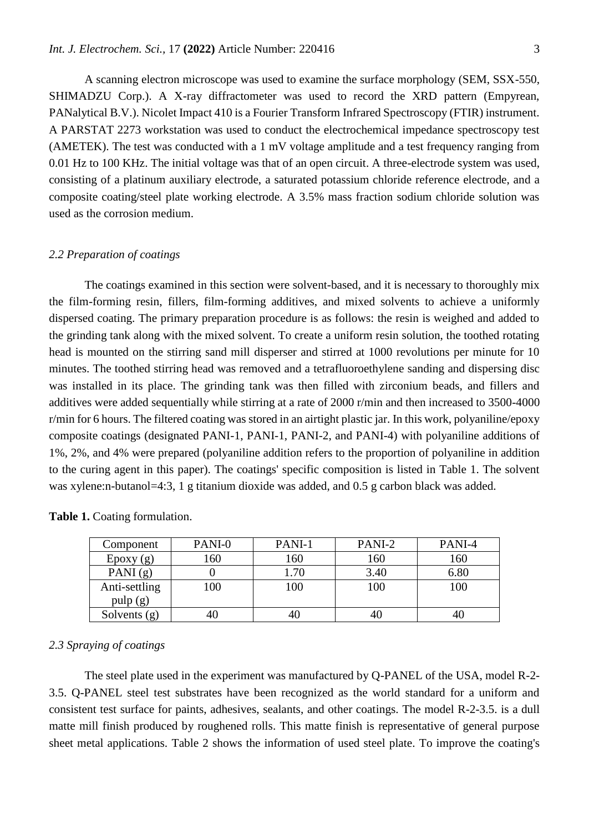A scanning electron microscope was used to examine the surface morphology (SEM, SSX-550, SHIMADZU Corp.). A X-ray diffractometer was used to record the XRD pattern (Empyrean, PANalytical B.V.). Nicolet Impact 410 is a Fourier Transform Infrared Spectroscopy (FTIR) instrument. A PARSTAT 2273 workstation was used to conduct the electrochemical impedance spectroscopy test (AMETEK). The test was conducted with a 1 mV voltage amplitude and a test frequency ranging from 0.01 Hz to 100 KHz. The initial voltage was that of an open circuit. A three-electrode system was used, consisting of a platinum auxiliary electrode, a saturated potassium chloride reference electrode, and a composite coating/steel plate working electrode. A 3.5% mass fraction sodium chloride solution was used as the corrosion medium.

#### *2.2 Preparation of coatings*

The coatings examined in this section were solvent-based, and it is necessary to thoroughly mix the film-forming resin, fillers, film-forming additives, and mixed solvents to achieve a uniformly dispersed coating. The primary preparation procedure is as follows: the resin is weighed and added to the grinding tank along with the mixed solvent. To create a uniform resin solution, the toothed rotating head is mounted on the stirring sand mill disperser and stirred at 1000 revolutions per minute for 10 minutes. The toothed stirring head was removed and a tetrafluoroethylene sanding and dispersing disc was installed in its place. The grinding tank was then filled with zirconium beads, and fillers and additives were added sequentially while stirring at a rate of 2000 r/min and then increased to 3500-4000 r/min for 6 hours. The filtered coating was stored in an airtight plastic jar. In this work, polyaniline/epoxy composite coatings (designated PANI-1, PANI-1, PANI-2, and PANI-4) with polyaniline additions of 1%, 2%, and 4% were prepared (polyaniline addition refers to the proportion of polyaniline in addition to the curing agent in this paper). The coatings' specific composition is listed in Table 1. The solvent was xylene:n-butanol=4:3, 1 g titanium dioxide was added, and 0.5 g carbon black was added.

| Component      | PANI-0 | PANI-1 | PANI-2 | PANI-4 |
|----------------|--------|--------|--------|--------|
| $E$ poxy $(g)$ | 160    | 160    | 160    | 160    |
| PANI $(g)$     |        | .70    | 3.40   | 6.80   |
| Anti-settling  | 100    | 100    | 100    | 100    |
| pulp(g)        |        |        |        |        |
| Solvents (g)   | 40     |        | 40     |        |

Table 1. Coating formulation.

## *2.3 Spraying of coatings*

The steel plate used in the experiment was manufactured by Q-PANEL of the USA, model R-2- 3.5. Q-PANEL steel test substrates have been recognized as the world standard for a uniform and consistent test surface for paints, adhesives, sealants, and other coatings. The model R-2-3.5. is a dull matte mill finish produced by roughened rolls. This matte finish is representative of general purpose sheet metal applications. Table 2 shows the information of used steel plate. To improve the coating's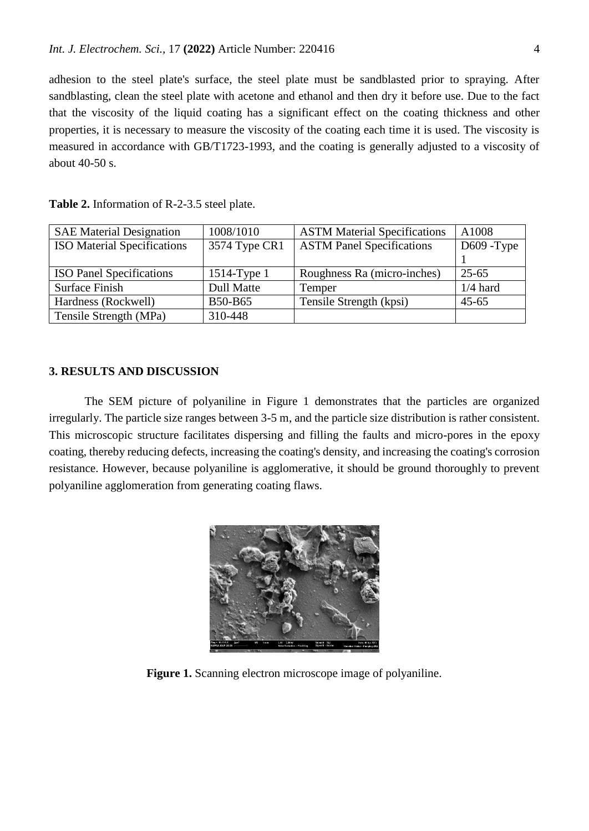adhesion to the steel plate's surface, the steel plate must be sandblasted prior to spraying. After sandblasting, clean the steel plate with acetone and ethanol and then dry it before use. Due to the fact that the viscosity of the liquid coating has a significant effect on the coating thickness and other properties, it is necessary to measure the viscosity of the coating each time it is used. The viscosity is measured in accordance with GB/T1723-1993, and the coating is generally adjusted to a viscosity of about 40-50 s.

| <b>SAE Material Designation</b>    | 1008/1010         | <b>ASTM Material Specifications</b> | A1008         |
|------------------------------------|-------------------|-------------------------------------|---------------|
| <b>ISO</b> Material Specifications | 3574 Type CR1     | <b>ASTM Panel Specifications</b>    | $D609 - Type$ |
|                                    |                   |                                     |               |
| <b>ISO Panel Specifications</b>    | $1514$ -Type 1    | Roughness Ra (micro-inches)         | $25 - 65$     |
| Surface Finish                     | <b>Dull Matte</b> | Temper                              | $1/4$ hard    |
| Hardness (Rockwell)                | <b>B50-B65</b>    | Tensile Strength (kpsi)             | $45 - 65$     |
| Tensile Strength (MPa)             | 310-448           |                                     |               |

**Table 2.** Information of R-2-3.5 steel plate.

## **3. RESULTS AND DISCUSSION**

The SEM picture of polyaniline in Figure 1 demonstrates that the particles are organized irregularly. The particle size ranges between 3-5 m, and the particle size distribution is rather consistent. This microscopic structure facilitates dispersing and filling the faults and micro-pores in the epoxy coating, thereby reducing defects, increasing the coating's density, and increasing the coating's corrosion resistance. However, because polyaniline is agglomerative, it should be ground thoroughly to prevent polyaniline agglomeration from generating coating flaws.



**Figure 1.** Scanning electron microscope image of polyaniline.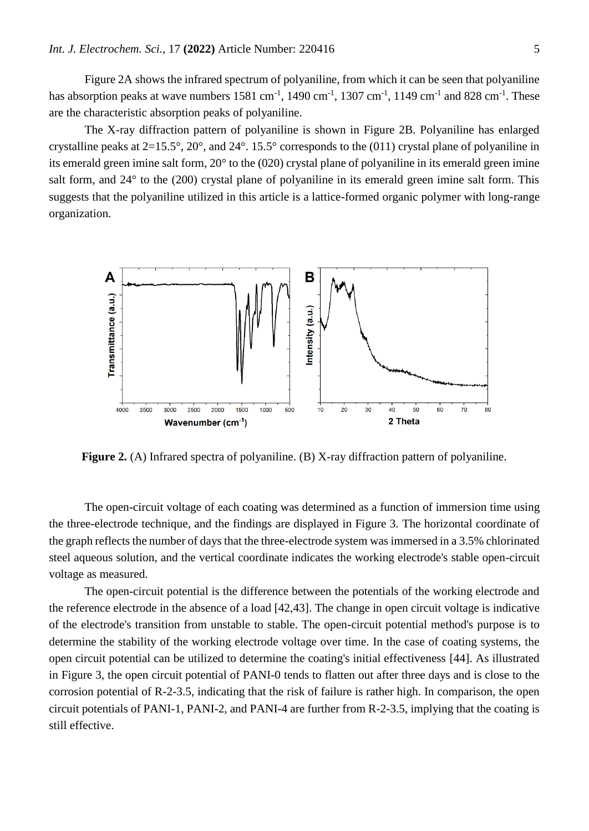Figure 2A shows the infrared spectrum of polyaniline, from which it can be seen that polyaniline has absorption peaks at wave numbers  $1581 \text{ cm}^{-1}$ ,  $1490 \text{ cm}^{-1}$ ,  $1307 \text{ cm}^{-1}$ ,  $1149 \text{ cm}^{-1}$  and  $828 \text{ cm}^{-1}$ . These are the characteristic absorption peaks of polyaniline.

The X-ray diffraction pattern of polyaniline is shown in Figure 2B. Polyaniline has enlarged crystalline peaks at  $2=15.5^{\circ}$ ,  $20^{\circ}$ , and  $24^{\circ}$ . 15.5° corresponds to the (011) crystal plane of polyaniline in its emerald green imine salt form, 20° to the (020) crystal plane of polyaniline in its emerald green imine salt form, and 24° to the (200) crystal plane of polyaniline in its emerald green imine salt form. This suggests that the polyaniline utilized in this article is a lattice-formed organic polymer with long-range organization.



**Figure 2.** (A) Infrared spectra of polyaniline. (B) X-ray diffraction pattern of polyaniline.

The open-circuit voltage of each coating was determined as a function of immersion time using the three-electrode technique, and the findings are displayed in Figure 3. The horizontal coordinate of the graph reflects the number of days that the three-electrode system was immersed in a 3.5% chlorinated steel aqueous solution, and the vertical coordinate indicates the working electrode's stable open-circuit voltage as measured.

The open-circuit potential is the difference between the potentials of the working electrode and the reference electrode in the absence of a load [42,43]. The change in open circuit voltage is indicative of the electrode's transition from unstable to stable. The open-circuit potential method's purpose is to determine the stability of the working electrode voltage over time. In the case of coating systems, the open circuit potential can be utilized to determine the coating's initial effectiveness [44]. As illustrated in Figure 3, the open circuit potential of PANI-0 tends to flatten out after three days and is close to the corrosion potential of R-2-3.5, indicating that the risk of failure is rather high. In comparison, the open circuit potentials of PANI-1, PANI-2, and PANI-4 are further from R-2-3.5, implying that the coating is still effective.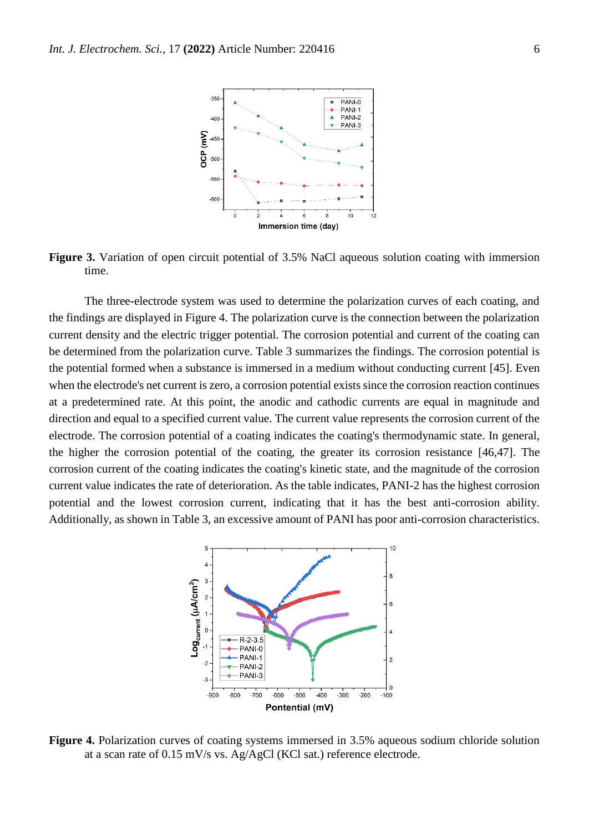

**Figure 3.** Variation of open circuit potential of 3.5% NaCl aqueous solution coating with immersion time.

The three-electrode system was used to determine the polarization curves of each coating, and the findings are displayed in Figure 4. The polarization curve is the connection between the polarization current density and the electric trigger potential. The corrosion potential and current of the coating can be determined from the polarization curve. Table 3 summarizes the findings. The corrosion potential is the potential formed when a substance is immersed in a medium without conducting current [45]. Even when the electrode's net current is zero, a corrosion potential exists since the corrosion reaction continues at a predetermined rate. At this point, the anodic and cathodic currents are equal in magnitude and direction and equal to a specified current value. The current value represents the corrosion current of the electrode. The corrosion potential of a coating indicates the coating's thermodynamic state. In general, the higher the corrosion potential of the coating, the greater its corrosion resistance [46,47]. The corrosion current of the coating indicates the coating's kinetic state, and the magnitude of the corrosion current value indicates the rate of deterioration. As the table indicates, PANI-2 has the highest corrosion potential and the lowest corrosion current, indicating that it has the best anti-corrosion ability. Additionally, as shown in Table 3, an excessive amount of PANI has poor anti-corrosion characteristics.



**Figure 4.** Polarization curves of coating systems immersed in 3.5% aqueous sodium chloride solution at a scan rate of 0.15 mV/s vs. Ag/AgCl (KCl sat.) reference electrode.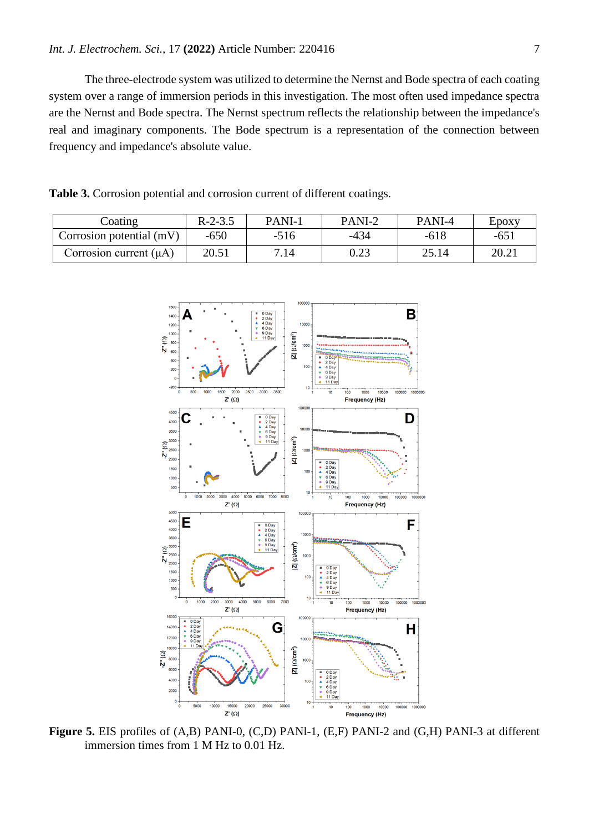The three-electrode system was utilized to determine the Nernst and Bode spectra of each coating system over a range of immersion periods in this investigation. The most often used impedance spectra are the Nernst and Bode spectra. The Nernst spectrum reflects the relationship between the impedance's real and imaginary components. The Bode spectrum is a representation of the connection between frequency and impedance's absolute value.

**Table 3.** Corrosion potential and corrosion current of different coatings.

| Coating                     | $R-2-3.5$ | PANI-1 | PANI-2 | PANI-4 | Epoxy |
|-----------------------------|-----------|--------|--------|--------|-------|
| Corrosion potential (mV)    | $-650$    | $-516$ | -434   | $-618$ | $-65$ |
| Corrosion current $(\mu A)$ | 20.51     | 7.14   | 0.23   | 25.14  | 20.21 |



**Figure 5.** EIS profiles of (A,B) PANI-0, (C,D) PANl-1, (E,F) PANI-2 and (G,H) PANI-3 at different immersion times from 1 M Hz to 0.01 Hz.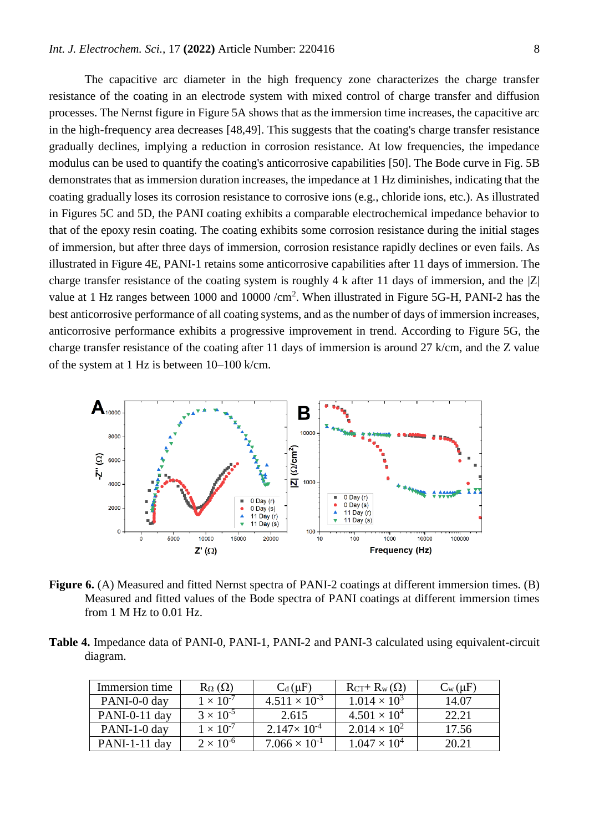The capacitive arc diameter in the high frequency zone characterizes the charge transfer resistance of the coating in an electrode system with mixed control of charge transfer and diffusion processes. The Nernst figure in Figure 5A shows that as the immersion time increases, the capacitive arc in the high-frequency area decreases [48,49]. This suggests that the coating's charge transfer resistance gradually declines, implying a reduction in corrosion resistance. At low frequencies, the impedance modulus can be used to quantify the coating's anticorrosive capabilities [50]. The Bode curve in Fig. 5B demonstrates that as immersion duration increases, the impedance at 1 Hz diminishes, indicating that the coating gradually loses its corrosion resistance to corrosive ions (e.g., chloride ions, etc.). As illustrated in Figures 5C and 5D, the PANI coating exhibits a comparable electrochemical impedance behavior to that of the epoxy resin coating. The coating exhibits some corrosion resistance during the initial stages of immersion, but after three days of immersion, corrosion resistance rapidly declines or even fails. As illustrated in Figure 4E, PANI-1 retains some anticorrosive capabilities after 11 days of immersion. The charge transfer resistance of the coating system is roughly 4 k after 11 days of immersion, and the  $|Z|$ value at 1 Hz ranges between 1000 and 10000  $/cm<sup>2</sup>$ . When illustrated in Figure 5G-H, PANI-2 has the best anticorrosive performance of all coating systems, and as the number of days of immersion increases, anticorrosive performance exhibits a progressive improvement in trend. According to Figure 5G, the charge transfer resistance of the coating after 11 days of immersion is around 27 k/cm, and the Z value of the system at 1 Hz is between 10–100 k/cm.



**Figure 6.** (A) Measured and fitted Nernst spectra of PANI-2 coatings at different immersion times. (B) Measured and fitted values of the Bode spectra of PANI coatings at different immersion times from 1 M Hz to 0.01 Hz.

**Table 4.** Impedance data of PANI-0, PANI-1, PANI-2 and PANI-3 calculated using equivalent-circuit diagram.

| Immersion time  | $R_{\Omega}(\Omega)$ | $C_d(\mu F)$           | $R_{CT}$ + $R_w(\Omega)$ | $C_w(\mu F)$ |
|-----------------|----------------------|------------------------|--------------------------|--------------|
| PANI-0-0 day    | $1 \times 10^{-7}$   | $4.511 \times 10^{-3}$ | $1.014 \times 10^{3}$    | 14.07        |
| $PANI-0-11$ day | $3 \times 10^{-5}$   | 2.615                  | $4.501 \times 10^{4}$    | 22.21        |
| PANI-1-0 day    | $1 \times 10^{-7}$   | $2.147 \times 10^{-4}$ | $2.014 \times 10^{2}$    | 17.56        |
| $PANI-1-11$ day | $2 \times 10^{-6}$   | $7.066 \times 10^{-1}$ | $1.047 \times 10^{4}$    | 20.21        |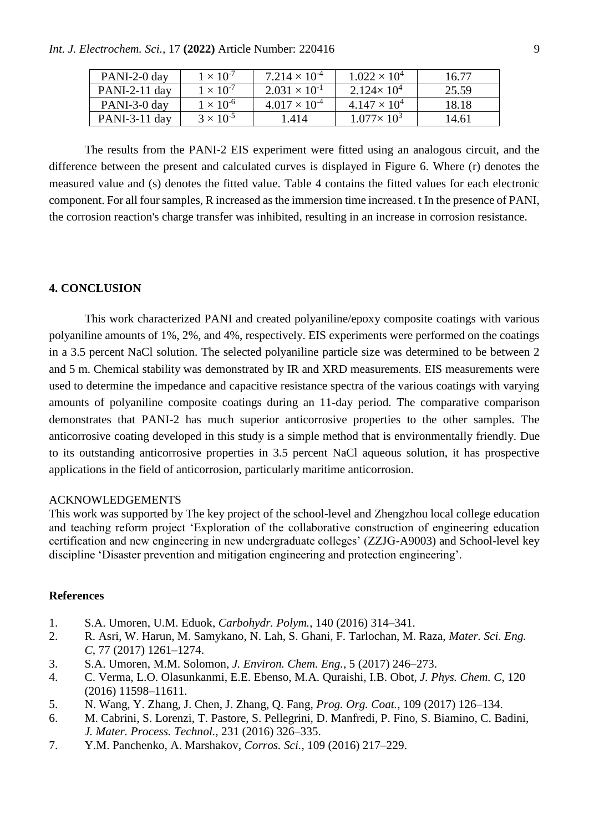*Int. J. Electrochem. Sci.,* 17 **(2022)** Article Number: 220416 9

| PANI-2-0 day    | $1 \times 10^{-7}$ | $7.214 \times 10^{-4}$ | $1.022 \times 10^{4}$ | 16.77 |
|-----------------|--------------------|------------------------|-----------------------|-------|
| $PANI-2-11$ day | $1 \times 10^{-7}$ | $2.031 \times 10^{-1}$ | $2.124 \times 10^{4}$ | 25.59 |
| PANI-3-0 day    | $1 \times 10^{-6}$ | $4.017 \times 10^{-4}$ | $4.147 \times 10^{4}$ | 18.18 |
| PANI-3-11 day   | $3 \times 10^{-5}$ | 1.414                  | $1.077 \times 10^3$   | 14.61 |

The results from the PANI-2 EIS experiment were fitted using an analogous circuit, and the difference between the present and calculated curves is displayed in Figure 6. Where (r) denotes the measured value and (s) denotes the fitted value. Table 4 contains the fitted values for each electronic component. For all four samples, R increased as the immersion time increased. t In the presence of PANI, the corrosion reaction's charge transfer was inhibited, resulting in an increase in corrosion resistance.

## **4. CONCLUSION**

This work characterized PANI and created polyaniline/epoxy composite coatings with various polyaniline amounts of 1%, 2%, and 4%, respectively. EIS experiments were performed on the coatings in a 3.5 percent NaCl solution. The selected polyaniline particle size was determined to be between 2 and 5 m. Chemical stability was demonstrated by IR and XRD measurements. EIS measurements were used to determine the impedance and capacitive resistance spectra of the various coatings with varying amounts of polyaniline composite coatings during an 11-day period. The comparative comparison demonstrates that PANI-2 has much superior anticorrosive properties to the other samples. The anticorrosive coating developed in this study is a simple method that is environmentally friendly. Due to its outstanding anticorrosive properties in 3.5 percent NaCl aqueous solution, it has prospective applications in the field of anticorrosion, particularly maritime anticorrosion.

#### ACKNOWLEDGEMENTS

This work was supported by The key project of the school-level and Zhengzhou local college education and teaching reform project 'Exploration of the collaborative construction of engineering education certification and new engineering in new undergraduate colleges' (ZZJG-A9003) and School-level key discipline 'Disaster prevention and mitigation engineering and protection engineering'.

#### **References**

- 1. S.A. Umoren, U.M. Eduok, *Carbohydr. Polym.*, 140 (2016) 314–341.
- 2. R. Asri, W. Harun, M. Samykano, N. Lah, S. Ghani, F. Tarlochan, M. Raza, *Mater. Sci. Eng. C*, 77 (2017) 1261–1274.
- 3. S.A. Umoren, M.M. Solomon, *J. Environ. Chem. Eng.*, 5 (2017) 246–273.
- 4. C. Verma, L.O. Olasunkanmi, E.E. Ebenso, M.A. Quraishi, I.B. Obot, *J. Phys. Chem. C*, 120 (2016) 11598–11611.
- 5. N. Wang, Y. Zhang, J. Chen, J. Zhang, Q. Fang, *Prog. Org. Coat.*, 109 (2017) 126–134.
- 6. M. Cabrini, S. Lorenzi, T. Pastore, S. Pellegrini, D. Manfredi, P. Fino, S. Biamino, C. Badini, *J. Mater. Process. Technol.*, 231 (2016) 326–335.
- 7. Y.M. Panchenko, A. Marshakov, *Corros. Sci.*, 109 (2016) 217–229.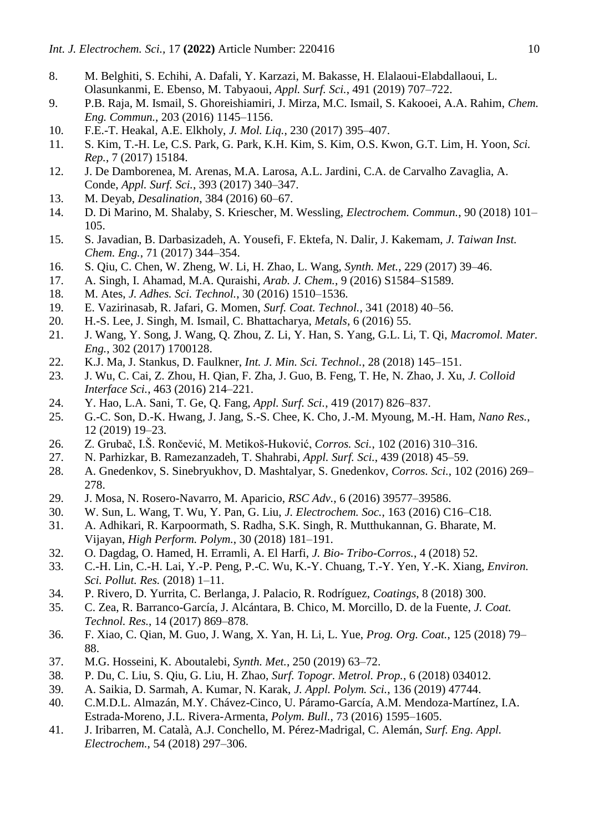- 8. M. Belghiti, S. Echihi, A. Dafali, Y. Karzazi, M. Bakasse, H. Elalaoui-Elabdallaoui, L. Olasunkanmi, E. Ebenso, M. Tabyaoui, *Appl. Surf. Sci.*, 491 (2019) 707–722.
- 9. P.B. Raja, M. Ismail, S. Ghoreishiamiri, J. Mirza, M.C. Ismail, S. Kakooei, A.A. Rahim, *Chem. Eng. Commun.*, 203 (2016) 1145–1156.
- 10. F.E.-T. Heakal, A.E. Elkholy, *J. Mol. Liq.*, 230 (2017) 395–407.
- 11. S. Kim, T.-H. Le, C.S. Park, G. Park, K.H. Kim, S. Kim, O.S. Kwon, G.T. Lim, H. Yoon, *Sci. Rep.*, 7 (2017) 15184.
- 12. J. De Damborenea, M. Arenas, M.A. Larosa, A.L. Jardini, C.A. de Carvalho Zavaglia, A. Conde, *Appl. Surf. Sci.*, 393 (2017) 340–347.
- 13. M. Deyab, *Desalination*, 384 (2016) 60–67.
- 14. D. Di Marino, M. Shalaby, S. Kriescher, M. Wessling, *Electrochem. Commun.*, 90 (2018) 101– 105.
- 15. S. Javadian, B. Darbasizadeh, A. Yousefi, F. Ektefa, N. Dalir, J. Kakemam, *J. Taiwan Inst. Chem. Eng.*, 71 (2017) 344–354.
- 16. S. Qiu, C. Chen, W. Zheng, W. Li, H. Zhao, L. Wang, *Synth. Met.*, 229 (2017) 39–46.
- 17. A. Singh, I. Ahamad, M.A. Quraishi, *Arab. J. Chem.*, 9 (2016) S1584–S1589.
- 18. M. Ates, *J. Adhes. Sci. Technol.*, 30 (2016) 1510–1536.
- 19. E. Vazirinasab, R. Jafari, G. Momen, *Surf. Coat. Technol.*, 341 (2018) 40–56.
- 20. H.-S. Lee, J. Singh, M. Ismail, C. Bhattacharya, *Metals*, 6 (2016) 55.
- 21. J. Wang, Y. Song, J. Wang, Q. Zhou, Z. Li, Y. Han, S. Yang, G.L. Li, T. Qi, *Macromol. Mater. Eng.*, 302 (2017) 1700128.
- 22. K.J. Ma, J. Stankus, D. Faulkner, *Int. J. Min. Sci. Technol.*, 28 (2018) 145–151.
- 23. J. Wu, C. Cai, Z. Zhou, H. Qian, F. Zha, J. Guo, B. Feng, T. He, N. Zhao, J. Xu, *J. Colloid Interface Sci.*, 463 (2016) 214–221.
- 24. Y. Hao, L.A. Sani, T. Ge, Q. Fang, *Appl. Surf. Sci.*, 419 (2017) 826–837.
- 25. G.-C. Son, D.-K. Hwang, J. Jang, S.-S. Chee, K. Cho, J.-M. Myoung, M.-H. Ham, *Nano Res.*, 12 (2019) 19–23.
- 26. Z. Grubač, I.Š. Rončević, M. Metikoš-Huković, *Corros. Sci.*, 102 (2016) 310–316.
- 27. N. Parhizkar, B. Ramezanzadeh, T. Shahrabi, *Appl. Surf. Sci.*, 439 (2018) 45–59.
- 28. A. Gnedenkov, S. Sinebryukhov, D. Mashtalyar, S. Gnedenkov, *Corros. Sci.*, 102 (2016) 269– 278.
- 29. J. Mosa, N. Rosero-Navarro, M. Aparicio, *RSC Adv.*, 6 (2016) 39577–39586.
- 30. W. Sun, L. Wang, T. Wu, Y. Pan, G. Liu, *J. Electrochem. Soc.*, 163 (2016) C16–C18.
- 31. A. Adhikari, R. Karpoormath, S. Radha, S.K. Singh, R. Mutthukannan, G. Bharate, M. Vijayan, *High Perform. Polym.*, 30 (2018) 181–191.
- 32. O. Dagdag, O. Hamed, H. Erramli, A. El Harfi, *J. Bio- Tribo-Corros.*, 4 (2018) 52.
- 33. C.-H. Lin, C.-H. Lai, Y.-P. Peng, P.-C. Wu, K.-Y. Chuang, T.-Y. Yen, Y.-K. Xiang, *Environ. Sci. Pollut. Res.* (2018) 1–11.
- 34. P. Rivero, D. Yurrita, C. Berlanga, J. Palacio, R. Rodríguez, *Coatings*, 8 (2018) 300.
- 35. C. Zea, R. Barranco-García, J. Alcántara, B. Chico, M. Morcillo, D. de la Fuente, *J. Coat. Technol. Res.*, 14 (2017) 869–878.
- 36. F. Xiao, C. Qian, M. Guo, J. Wang, X. Yan, H. Li, L. Yue, *Prog. Org. Coat.*, 125 (2018) 79– 88.
- 37. M.G. Hosseini, K. Aboutalebi, *Synth. Met.*, 250 (2019) 63–72.
- 38. P. Du, C. Liu, S. Qiu, G. Liu, H. Zhao, *Surf. Topogr. Metrol. Prop.*, 6 (2018) 034012.
- 39. A. Saikia, D. Sarmah, A. Kumar, N. Karak, *J. Appl. Polym. Sci.*, 136 (2019) 47744.
- 40. C.M.D.L. Almazán, M.Y. Chávez-Cinco, U. Páramo-García, A.M. Mendoza-Martínez, I.A. Estrada-Moreno, J.L. Rivera-Armenta, *Polym. Bull.*, 73 (2016) 1595–1605.
- 41. J. Iribarren, M. Català, A.J. Conchello, M. Pérez-Madrigal, C. Alemán, *Surf. Eng. Appl. Electrochem.*, 54 (2018) 297–306.